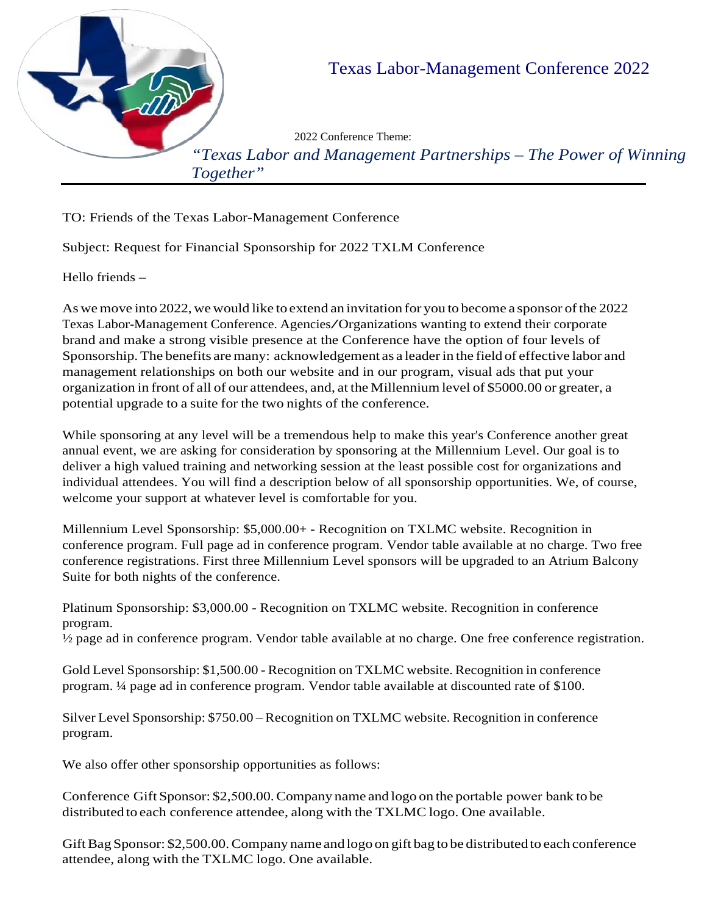

TO: Friends of the Texas Labor-Management Conference

Subject: Request for Financial Sponsorship for 2022 TXLM Conference

Hello friends –

As we move into 2022, we would like to extend an invitation for you to become a sponsor of the 2022 Texas Labor-Management Conference. Agencies/Organizations wanting to extend their corporate brand and make a strong visible presence at the Conference have the option of four levels of Sponsorship. The benefits are many: acknowledgement as a leader in the field of effective labor and management relationships on both our website and in our program, visual ads that put your organization in front of all of our attendees, and, at the Millennium level of \$5000.00 or greater, a potential upgrade to a suite for the two nights of the conference.

While sponsoring at any level will be a tremendous help to make this year's Conference another great annual event, we are asking for consideration by sponsoring at the Millennium Level. Our goal is to deliver a high valued training and networking session at the least possible cost for organizations and individual attendees. You will find a description below of all sponsorship opportunities. We, of course, welcome your support at whatever level is comfortable for you.

Millennium Level Sponsorship: \$5,000.00+ - Recognition on TXLMC website. Recognition in conference program. Full page ad in conference program. Vendor table available at no charge. Two free conference registrations. First three Millennium Level sponsors will be upgraded to an Atrium Balcony Suite for both nights of the conference.

Platinum Sponsorship: \$3,000.00 - Recognition on TXLMC website. Recognition in conference program.

½ page ad in conference program. Vendor table available at no charge. One free conference registration.

Gold Level Sponsorship: \$1,500.00 - Recognition on TXLMC website. Recognition in conference program. ¼ page ad in conference program. Vendor table available at discounted rate of \$100.

Silver Level Sponsorship: \$750.00 – Recognition on TXLMC website. Recognition in conference program.

We also offer other sponsorship opportunities as follows:

Conference Gift Sponsor: \$2,500.00.Company name and logo on the portable power bank to be distributed to each conference attendee, along with the TXLMC logo. One available.

Gift Bag Sponsor: \$2,500.00. Company name and logo on gift bag to be distributed to each conference attendee, along with the TXLMC logo. One available.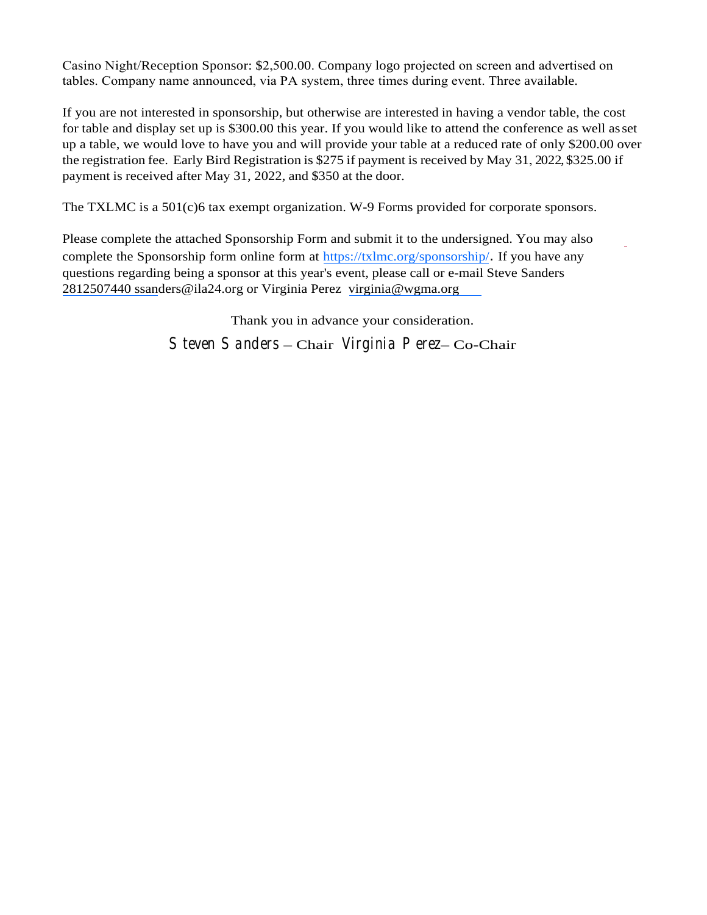Casino Night/Reception Sponsor: \$2,500.00. Company logo projected on screen and advertised on tables. Company name announced, via PA system, three times during event. Three available.

If you are not interested in sponsorship, but otherwise are interested in having a vendor table, the cost for table and display set up is \$300.00 this year. If you would like to attend the conference as well asset up a table, we would love to have you and will provide your table at a reduced rate of only \$200.00 over the registration fee. Early Bird Registration is \$275 if payment is received by May 31, 2022, \$325.00 if payment is received after May 31, 2022, and \$350 at the door.

The TXLMC is a 501(c)6 tax exempt organization. W-9 Forms provided for corporate sponsors.

Please complete the attached Sponsorship Form and submit it to the undersigned. You may also complete the Sponsorship form online form at <https://txlmc.org/sponsorship/>. If you have any [questions regardin](mailto:jesse@ila28.com)g being a sponsor at this year's ev[ent, please call or e-mail S](mailto:Jalisa.c.sims@nasa.gov.)teve Sanders 2812507440 ssanders@ila24.org or Virginia Perez virginia@wgma.org

> Thank you in advance your consideration. *Steven Sanders* – Chair *Virginia Perez*– Co-Chair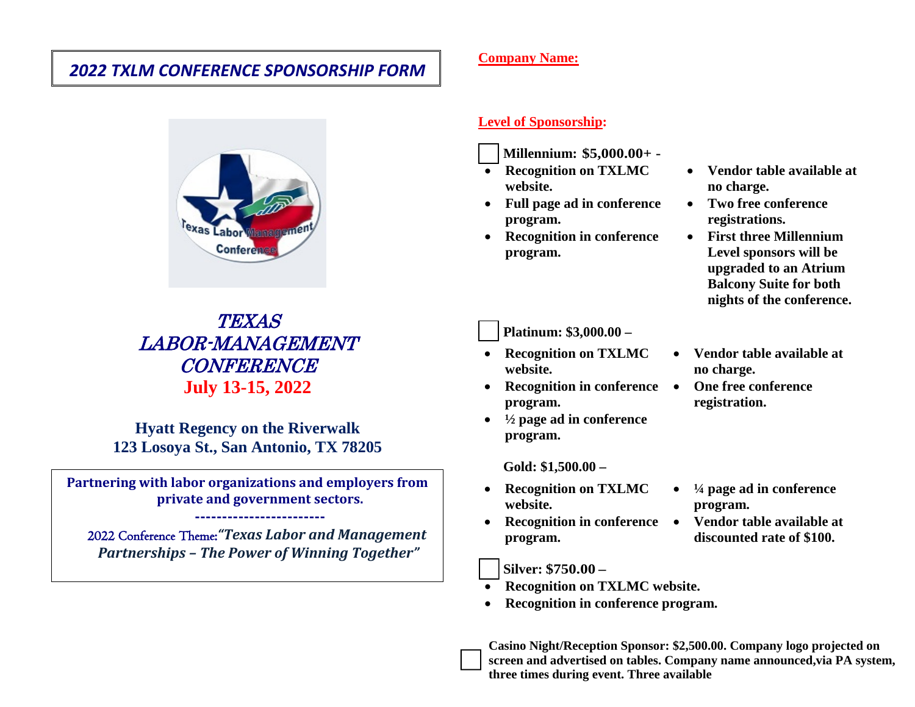# *2022 TXLM CONFERENCE SPONSORSHIP FORM*



TEXAS LABOR-MANAGEMENT CONFERENCE **July 13-15, 2022**

**Hyatt Regency on the Riverwalk 123 Losoya St., San Antonio, TX 78205**

**Partnering with labor organizations and employers from private and government sectors.**

 2022 Conference Theme:*"Texas Labor and Management Partnerships – The Power of Winning Together"*

**------------------------**

#### **Company Name:**

#### **Level of Sponsorship:**

- **Millennium: \$5,000.00+**
- **Recognition on TXLMC website.**
- **Full page ad in conference program.**
- **Recognition in conference program.**

**Platinum: \$3,000.00 –** 

- **Recognition on TXLMC website.**
- **Recognition in conference program.**
- **½ page ad in conference program.**

**Gold: \$1,500.00 –**

- **Recognition on TXLMC website.**
- **Recognition in conference program.**

**Silver: \$750.00 –**

- **Recognition on TXLMC website.**
- **Recognition in conference program.**

**Casino Night/Reception Sponsor: \$2,500.00. Company logo projected on screen and advertised on tables. Company name announced,via PA system, three times during event. Three available**

• **Vendor table available at no charge.**

• **Vendor table available at**

• **Two free conference registrations.**

• **First three Millennium Level sponsors will be upgraded to an Atrium Balcony Suite for both nights of the conference.**

**no charge.**

• **One free conference registration.**

- **¼ page ad in conference program.**
- **Vendor table available at discounted rate of \$100.**